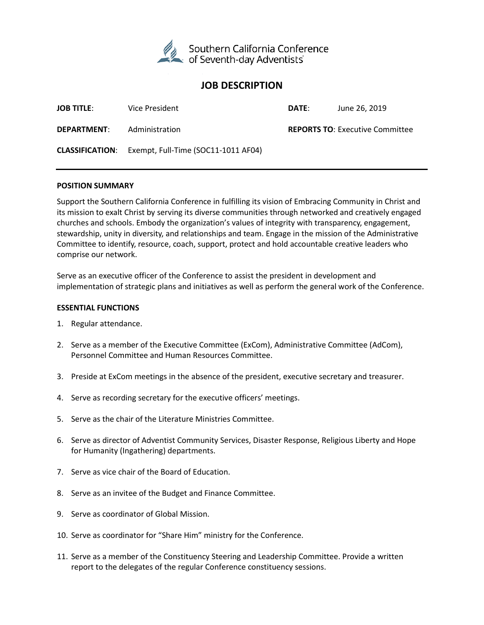

# **JOB DESCRIPTION**

| <b>JOB TITLE:</b>  | Vice President                                             | DATE: | June 26, 2019                          |
|--------------------|------------------------------------------------------------|-------|----------------------------------------|
| <b>DEPARTMENT:</b> | Administration                                             |       | <b>REPORTS TO: Executive Committee</b> |
|                    | <b>CLASSIFICATION:</b> Exempt, Full-Time (SOC11-1011 AF04) |       |                                        |

#### **POSITION SUMMARY**

Support the Southern California Conference in fulfilling its vision of Embracing Community in Christ and its mission to exalt Christ by serving its diverse communities through networked and creatively engaged churches and schools. Embody the organization's values of integrity with transparency, engagement, stewardship, unity in diversity, and relationships and team. Engage in the mission of the Administrative Committee to identify, resource, coach, support, protect and hold accountable creative leaders who comprise our network.

Serve as an executive officer of the Conference to assist the president in development and implementation of strategic plans and initiatives as well as perform the general work of the Conference.

#### **ESSENTIAL FUNCTIONS**

- 1. Regular attendance.
- 2. Serve as a member of the Executive Committee (ExCom), Administrative Committee (AdCom), Personnel Committee and Human Resources Committee.
- 3. Preside at ExCom meetings in the absence of the president, executive secretary and treasurer.
- 4. Serve as recording secretary for the executive officers' meetings.
- 5. Serve as the chair of the Literature Ministries Committee.
- 6. Serve as director of Adventist Community Services, Disaster Response, Religious Liberty and Hope for Humanity (Ingathering) departments.
- 7. Serve as vice chair of the Board of Education.
- 8. Serve as an invitee of the Budget and Finance Committee.
- 9. Serve as coordinator of Global Mission.
- 10. Serve as coordinator for "Share Him" ministry for the Conference.
- 11. Serve as a member of the Constituency Steering and Leadership Committee. Provide a written report to the delegates of the regular Conference constituency sessions.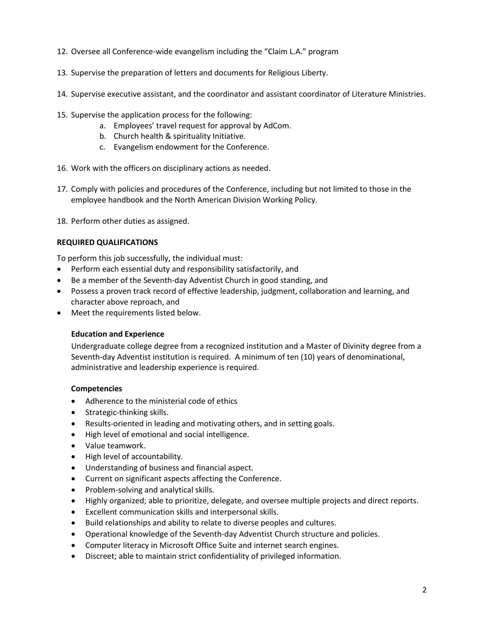- 12. Oversee all Conference-wide evangelism including the "Claim L.A." program
- 13. Supervise the preparation of letters and documents for Religious Liberty.
- 14. Supervise executive assistant, and the coordinator and assistant coordinator of Literature Ministries.
- 15. Supervise the application process for the following:
	- a. Employees' travel request for approval by AdCom.
	- b. Church health & spirituality Initiative.
	- c. Evangelism endowment for the Conference.
- 16. Work with the officers on disciplinary actions as needed.
- 17. Comply with policies and procedures of the Conference, including but not limited to those in the employee handbook and the North American Division Working Policy.
- 18. Perform other duties as assigned.

## **REQUIRED QUALIFICATIONS**

To perform this job successfully, the individual must:

- Perform each essential duty and responsibility satisfactorily, and
- Be a member of the Seventh-day Adventist Church in good standing, and
- Possess a proven track record of effective leadership, judgment, collaboration and learning, and character above reproach, and
- Meet the requirements listed below.

### **Education and Experience**

Undergraduate college degree from a recognized institution and a Master of Divinity degree from a Seventh-day Adventist institution is required. A minimum of ten (10) years of denominational, administrative and leadership experience is required.

## **Competencies**

- Adherence to the ministerial code of ethics
- Strategic-thinking skills.
- Results-oriented in leading and motivating others, and in setting goals.
- High level of emotional and social intelligence.
- Value teamwork.
- High level of accountability.
- Understanding of business and financial aspect.
- Current on significant aspects affecting the Conference.
- Problem-solving and analytical skills.
- Highly organized; able to prioritize, delegate, and oversee multiple projects and direct reports.
- Excellent communication skills and interpersonal skills.
- Build relationships and ability to relate to diverse peoples and cultures.
- Operational knowledge of the Seventh-day Adventist Church structure and policies.
- Computer literacy in Microsoft Office Suite and internet search engines.
- Discreet; able to maintain strict confidentiality of privileged information.